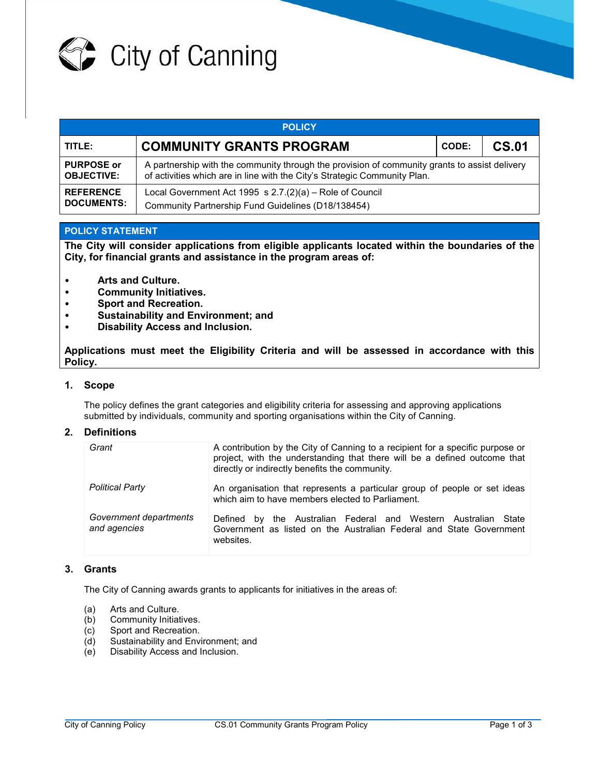

| <b>POLICY</b>                          |                                                                                                                                                                            |       |              |  |  |  |
|----------------------------------------|----------------------------------------------------------------------------------------------------------------------------------------------------------------------------|-------|--------------|--|--|--|
| TITLE:                                 | <b>COMMUNITY GRANTS PROGRAM</b>                                                                                                                                            | CODE: | <b>CS.01</b> |  |  |  |
| <b>PURPOSE or</b><br><b>OBJECTIVE:</b> | A partnership with the community through the provision of community grants to assist delivery<br>of activities which are in line with the City's Strategic Community Plan. |       |              |  |  |  |
| <b>REFERENCE</b><br><b>DOCUMENTS:</b>  | Local Government Act 1995 s $2.7(2)(a)$ – Role of Council<br>Community Partnership Fund Guidelines (D18/138454)                                                            |       |              |  |  |  |

### **POLICY STATEMENT**

**The City will consider applications from eligible applicants located within the boundaries of the City, for financial grants and assistance in the program areas of:** 

- **Arts and Culture.**
- **Community Initiatives.**
- **Sport and Recreation.**
- **Sustainability and Environment; and**
- **Disability Access and Inclusion.**

**Applications must meet the Eligibility Criteria and will be assessed in accordance with this Policy.** 

#### **1. Scope**

The policy defines the grant categories and eligibility criteria for assessing and approving applications submitted by individuals, community and sporting organisations within the City of Canning.

#### **2. Definitions**

| Grant                                  | A contribution by the City of Canning to a recipient for a specific purpose or<br>project, with the understanding that there will be a defined outcome that<br>directly or indirectly benefits the community. |
|----------------------------------------|---------------------------------------------------------------------------------------------------------------------------------------------------------------------------------------------------------------|
| <b>Political Party</b>                 | An organisation that represents a particular group of people or set ideas<br>which aim to have members elected to Parliament.                                                                                 |
| Government departments<br>and agencies | by the Australian Federal and Western Australian<br>State<br>Defined<br>Government as listed on the Australian Federal and State Government<br>websites.                                                      |

#### **3. Grants**

The City of Canning awards grants to applicants for initiatives in the areas of:

- (a) Arts and Culture.
- (b) Community Initiatives.
- (c) Sport and Recreation.
- (d) Sustainability and Environment; and
- (e) Disability Access and Inclusion.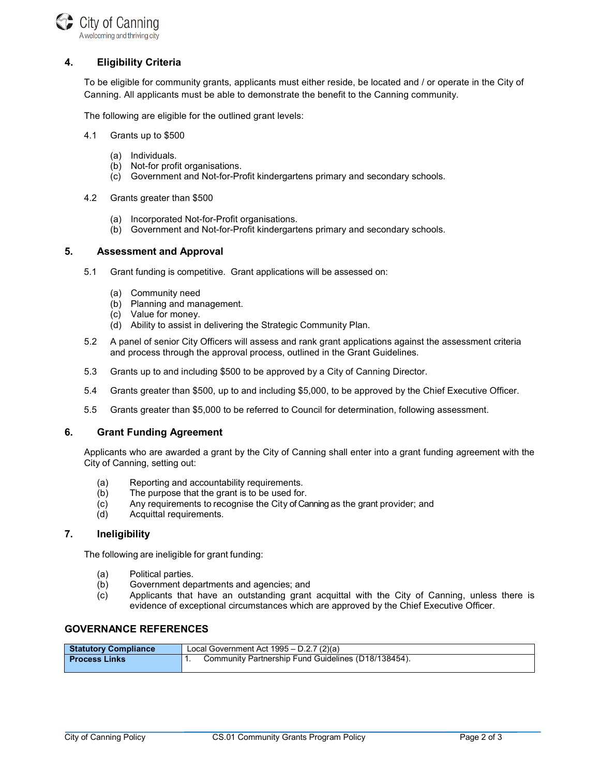

# **4. Eligibility Criteria**

To be eligible for community grants, applicants must either reside, be located and / or operate in the City of Canning. All applicants must be able to demonstrate the benefit to the Canning community.

The following are eligible for the outlined grant levels:

- 4.1 Grants up to \$500
	- (a) Individuals.
	- (b) Not-for profit organisations.
	- (c) Government and Not-for-Profit kindergartens primary and secondary schools.
- 4.2 Grants greater than \$500
	- (a) Incorporated Not-for-Profit organisations.
	- (b) Government and Not-for-Profit kindergartens primary and secondary schools.

#### **5. Assessment and Approval**

- 5.1 Grant funding is competitive. Grant applications will be assessed on:
	- (a) Community need
	- (b) Planning and management.
	- (c) Value for money.
	- (d) Ability to assist in delivering the Strategic Community Plan.
- 5.2 A panel of senior City Officers will assess and rank grant applications against the assessment criteria and process through the approval process, outlined in the Grant Guidelines.
- 5.3 Grants up to and including \$500 to be approved by a City of Canning Director.
- 5.4 Grants greater than \$500, up to and including \$5,000, to be approved by the Chief Executive Officer.
- 5.5 Grants greater than \$5,000 to be referred to Council for determination, following assessment.

#### **6. Grant Funding Agreement**

 Applicants who are awarded a grant by the City of Canning shall enter into a grant funding agreement with the City of Canning, setting out:

- (a) Reporting and accountability requirements.
- (b) The purpose that the grant is to be used for.
- (c) Any requirements to recognise the City of Canning as the grant provider; and
- (d) Acquittal requirements.

#### **7. Ineligibility**

The following are ineligible for grant funding:

- (a) Political parties.
- (b) Government departments and agencies; and
- (c) Applicants that have an outstanding grant acquittal with the City of Canning, unless there is evidence of exceptional circumstances which are approved by the Chief Executive Officer.

## **GOVERNANCE REFERENCES**

| <b>Statutory Compliance</b> | Local Government Act $1995 - D.2.7$ (2)(a)          |  |
|-----------------------------|-----------------------------------------------------|--|
| l Process Links             | Community Partnership Fund Guidelines (D18/138454). |  |